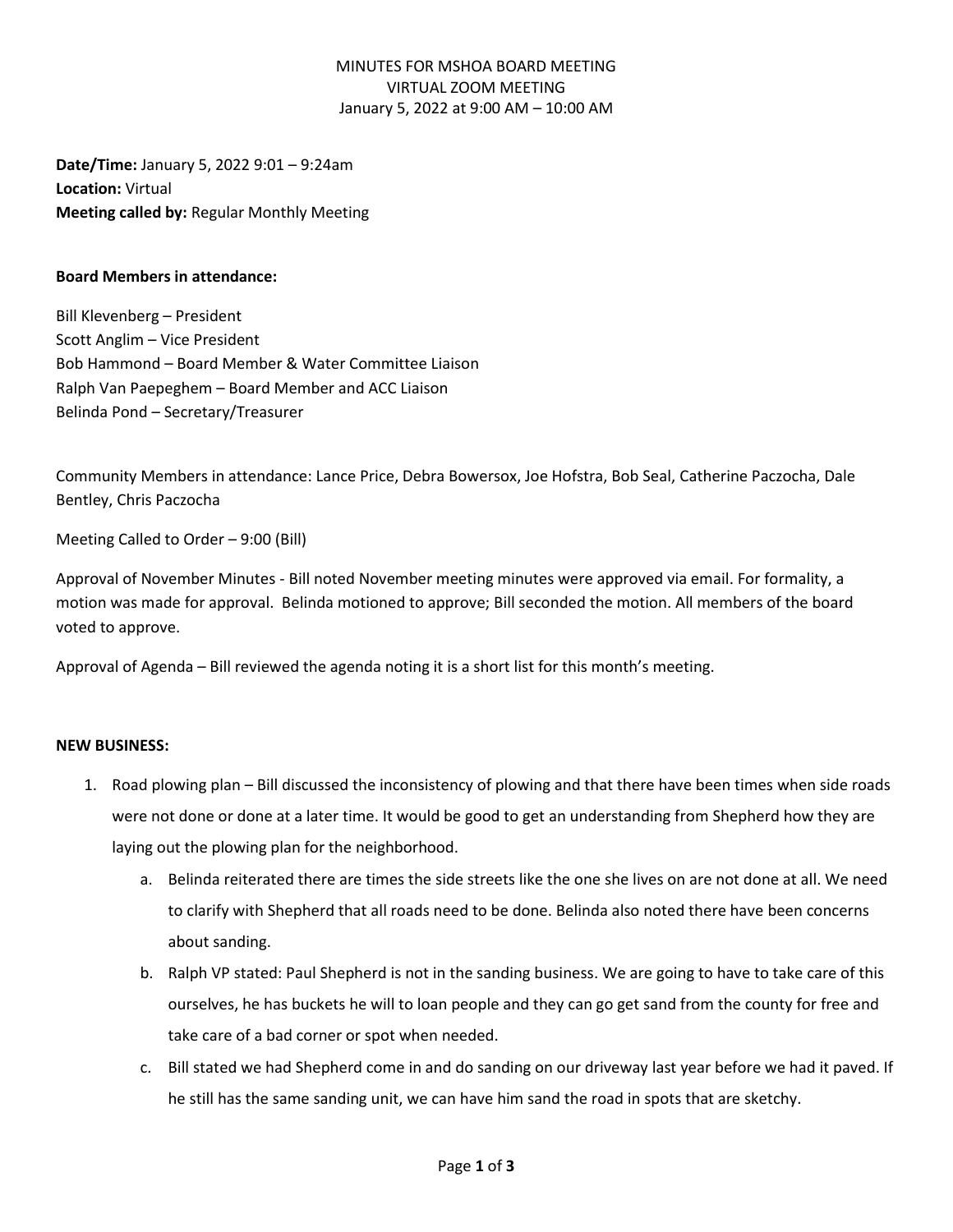## MINUTES FOR MSHOA BOARD MEETING VIRTUAL ZOOM MEETING January 5, 2022 at 9:00 AM – 10:00 AM

**Date/Time:** January 5, 2022 9:01 – 9:24am **Location:** Virtual **Meeting called by:** Regular Monthly Meeting

#### **Board Members in attendance:**

Bill Klevenberg – President Scott Anglim – Vice President Bob Hammond – Board Member & Water Committee Liaison Ralph Van Paepeghem – Board Member and ACC Liaison Belinda Pond – Secretary/Treasurer

Community Members in attendance: Lance Price, Debra Bowersox, Joe Hofstra, Bob Seal, Catherine Paczocha, Dale Bentley, Chris Paczocha

Meeting Called to Order – 9:00 (Bill)

Approval of November Minutes - Bill noted November meeting minutes were approved via email. For formality, a motion was made for approval. Belinda motioned to approve; Bill seconded the motion. All members of the board voted to approve.

Approval of Agenda – Bill reviewed the agenda noting it is a short list for this month's meeting.

### **NEW BUSINESS:**

- 1. Road plowing plan Bill discussed the inconsistency of plowing and that there have been times when side roads were not done or done at a later time. It would be good to get an understanding from Shepherd how they are laying out the plowing plan for the neighborhood.
	- a. Belinda reiterated there are times the side streets like the one she lives on are not done at all. We need to clarify with Shepherd that all roads need to be done. Belinda also noted there have been concerns about sanding.
	- b. Ralph VP stated: Paul Shepherd is not in the sanding business. We are going to have to take care of this ourselves, he has buckets he will to loan people and they can go get sand from the county for free and take care of a bad corner or spot when needed.
	- c. Bill stated we had Shepherd come in and do sanding on our driveway last year before we had it paved. If he still has the same sanding unit, we can have him sand the road in spots that are sketchy.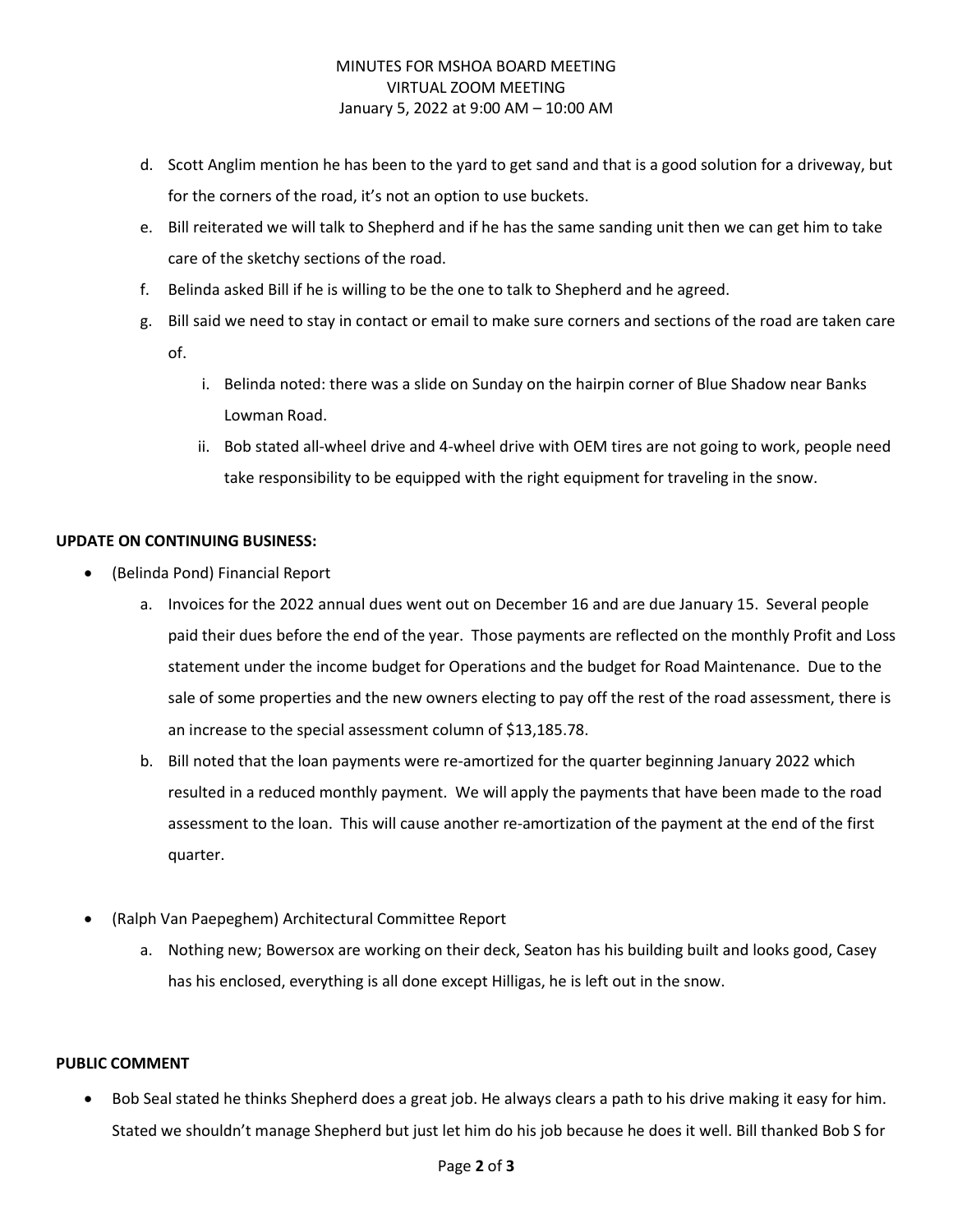# MINUTES FOR MSHOA BOARD MEETING VIRTUAL ZOOM MEETING January 5, 2022 at 9:00 AM – 10:00 AM

- d. Scott Anglim mention he has been to the yard to get sand and that is a good solution for a driveway, but for the corners of the road, it's not an option to use buckets.
- e. Bill reiterated we will talk to Shepherd and if he has the same sanding unit then we can get him to take care of the sketchy sections of the road.
- f. Belinda asked Bill if he is willing to be the one to talk to Shepherd and he agreed.
- g. Bill said we need to stay in contact or email to make sure corners and sections of the road are taken care of.
	- i. Belinda noted: there was a slide on Sunday on the hairpin corner of Blue Shadow near Banks Lowman Road.
	- ii. Bob stated all-wheel drive and 4-wheel drive with OEM tires are not going to work, people need take responsibility to be equipped with the right equipment for traveling in the snow.

## **UPDATE ON CONTINUING BUSINESS:**

- (Belinda Pond) Financial Report
	- a. Invoices for the 2022 annual dues went out on December 16 and are due January 15. Several people paid their dues before the end of the year. Those payments are reflected on the monthly Profit and Loss statement under the income budget for Operations and the budget for Road Maintenance. Due to the sale of some properties and the new owners electing to pay off the rest of the road assessment, there is an increase to the special assessment column of \$13,185.78.
	- b. Bill noted that the loan payments were re-amortized for the quarter beginning January 2022 which resulted in a reduced monthly payment. We will apply the payments that have been made to the road assessment to the loan. This will cause another re-amortization of the payment at the end of the first quarter.
- (Ralph Van Paepeghem) Architectural Committee Report
	- a. Nothing new; Bowersox are working on their deck, Seaton has his building built and looks good, Casey has his enclosed, everything is all done except Hilligas, he is left out in the snow.

### **PUBLIC COMMENT**

• Bob Seal stated he thinks Shepherd does a great job. He always clears a path to his drive making it easy for him. Stated we shouldn't manage Shepherd but just let him do his job because he does it well. Bill thanked Bob S for

#### Page **2** of **3**